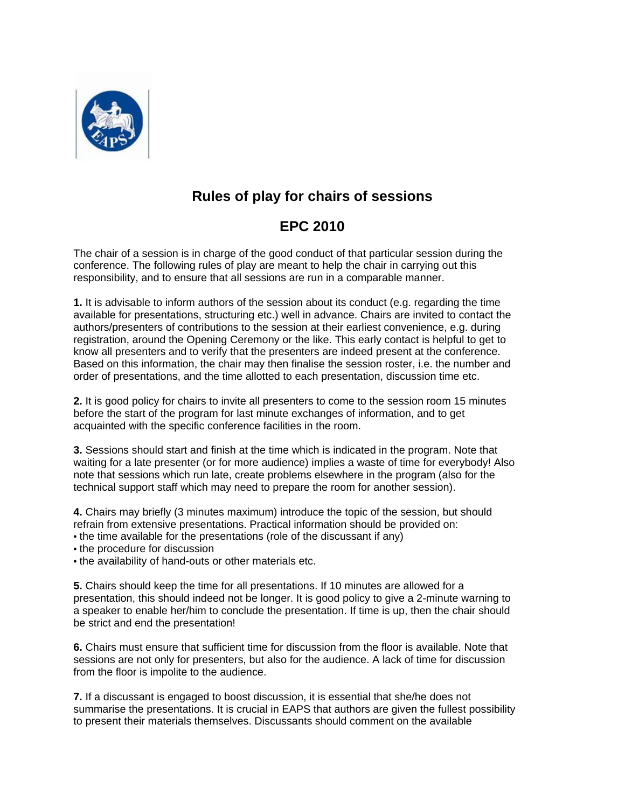

## **Rules of play for chairs of sessions**

## **EPC 2010**

The chair of a session is in charge of the good conduct of that particular session during the conference. The following rules of play are meant to help the chair in carrying out this responsibility, and to ensure that all sessions are run in a comparable manner.

**1.** It is advisable to inform authors of the session about its conduct (e.g. regarding the time available for presentations, structuring etc.) well in advance. Chairs are invited to contact the authors/presenters of contributions to the session at their earliest convenience, e.g. during registration, around the Opening Ceremony or the like. This early contact is helpful to get to know all presenters and to verify that the presenters are indeed present at the conference. Based on this information, the chair may then finalise the session roster, i.e. the number and order of presentations, and the time allotted to each presentation, discussion time etc.

**2.** It is good policy for chairs to invite all presenters to come to the session room 15 minutes before the start of the program for last minute exchanges of information, and to get acquainted with the specific conference facilities in the room.

**3.** Sessions should start and finish at the time which is indicated in the program. Note that waiting for a late presenter (or for more audience) implies a waste of time for everybody! Also note that sessions which run late, create problems elsewhere in the program (also for the technical support staff which may need to prepare the room for another session).

**4.** Chairs may briefly (3 minutes maximum) introduce the topic of the session, but should refrain from extensive presentations. Practical information should be provided on: • the time available for the presentations (role of the discussant if any)

• the procedure for discussion

• the availability of hand-outs or other materials etc.

**5.** Chairs should keep the time for all presentations. If 10 minutes are allowed for a presentation, this should indeed not be longer. It is good policy to give a 2-minute warning to a speaker to enable her/him to conclude the presentation. If time is up, then the chair should be strict and end the presentation!

**6.** Chairs must ensure that sufficient time for discussion from the floor is available. Note that sessions are not only for presenters, but also for the audience. A lack of time for discussion from the floor is impolite to the audience.

**7.** If a discussant is engaged to boost discussion, it is essential that she/he does not summarise the presentations. It is crucial in EAPS that authors are given the fullest possibility to present their materials themselves. Discussants should comment on the available